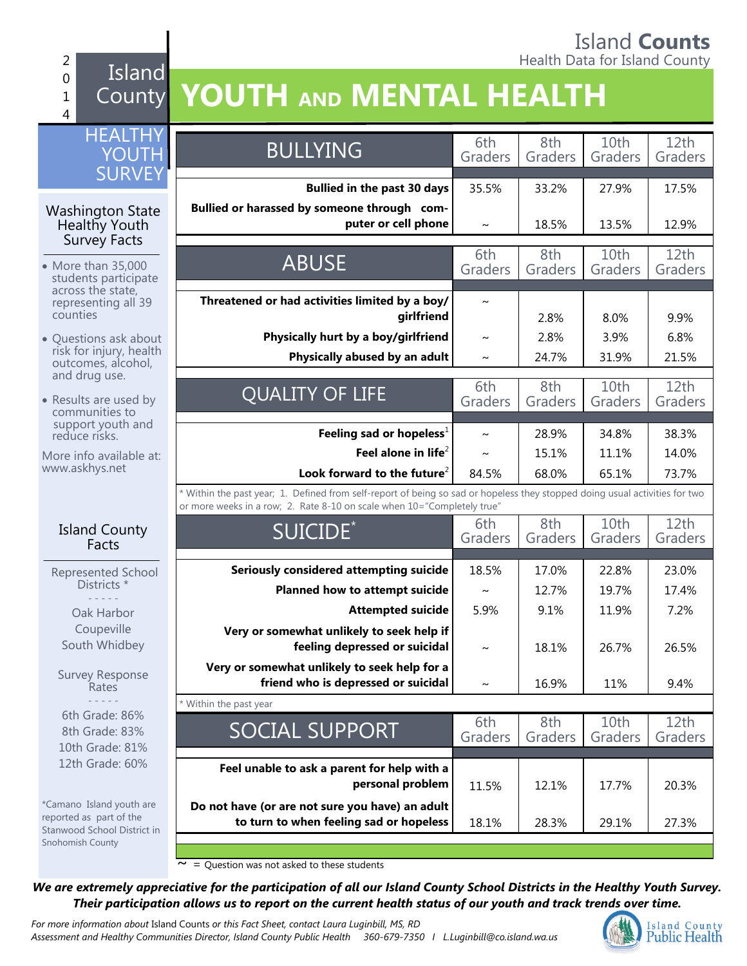### Island **Counts** 2 **Accounting the County of the County of the County of the County of the County of the County of the County of the County of the County of the County of the County of the County of the County of the County of the County o**

### Island County **YOUTH AND MENTAL HEALTH**

0 1 4

| <b>HEALTHY</b><br><b>YOUTH</b>                                                     | <b>BULLYING</b>                                                                                                                                                                                        | 6th<br>Graders   | 8th<br>Graders | 10th<br>Graders | 12th<br>Graders |
|------------------------------------------------------------------------------------|--------------------------------------------------------------------------------------------------------------------------------------------------------------------------------------------------------|------------------|----------------|-----------------|-----------------|
| <b>SURVEY</b>                                                                      | <b>Bullied in the past 30 days</b>                                                                                                                                                                     | 35.5%            | 33.2%          | 27.9%           | 17.5%           |
| <b>Washington State</b><br>Healthy Youth<br><b>Survey Facts</b>                    | Bullied or harassed by someone through com-<br>puter or cell phone                                                                                                                                     | $\sim$           | 18.5%          | 13.5%           | 12.9%           |
| • More than 35,000<br>students participate                                         | <b>ABUSE</b>                                                                                                                                                                                           | 6th<br>Graders   | 8th<br>Graders | 10th<br>Graders | 12th<br>Graders |
| across the state,<br>representing all 39<br>counties                               | Threatened or had activities limited by a boy/<br>girlfriend                                                                                                                                           | $\sim$           | 2.8%           | 8.0%            | 9.9%            |
| • Questions ask about<br>risk for injury, health<br>outcomes, alcohol,             | Physically hurt by a boy/girlfriend<br>Physically abused by an adult                                                                                                                                   | $\sim$<br>$\sim$ | 2.8%<br>24.7%  | 3.9%<br>31.9%   | 6.8%<br>21.5%   |
| and drug use.<br>• Results are used by<br>communities to                           | <b>QUALITY OF LIFE</b>                                                                                                                                                                                 | 6th<br>Graders   | 8th<br>Graders | 10th<br>Graders | 12th<br>Graders |
| support youth and<br>reduce risks.<br>More info available at:                      | Feeling sad or hopeless <sup>1</sup><br>Feel alone in life $2$                                                                                                                                         | $\sim$<br>$\sim$ | 28.9%<br>15.1% | 34.8%<br>11.1%  | 38.3%<br>14.0%  |
| www.askhys.net                                                                     | Look forward to the future <sup>2</sup>                                                                                                                                                                | 84.5%            | 68.0%          | 65.1%           | 73.7%           |
|                                                                                    | * Within the past year; 1. Defined from self-report of being so sad or hopeless they stopped doing usual activities for two<br>or more weeks in a row; 2. Rate 8-10 on scale when 10="Completely true" |                  |                |                 |                 |
| <b>Island County</b><br>Facts                                                      | SUICIDE <sup>*</sup>                                                                                                                                                                                   | 6th<br>Graders   | 8th<br>Graders | 10th<br>Graders | 12th<br>Graders |
| Represented School                                                                 | Seriously considered attempting suicide                                                                                                                                                                | 18.5%            | 17.0%          | 22.8%           | 23.0%           |
| Districts *                                                                        | Planned how to attempt suicide                                                                                                                                                                         | $\sim$           | 12.7%          | 19.7%           | 17.4%           |
| Oak Harbor<br>Coupeville<br>South Whidbey                                          | <b>Attempted suicide</b><br>Very or somewhat unlikely to seek help if<br>feeling depressed or suicidal                                                                                                 | 5.9%<br>$\sim$   | 9.1%<br>18.1%  | 11.9%<br>26.7%  | 7.2%<br>26.5%   |
| <b>Survey Response</b><br>Rates                                                    | Very or somewhat unlikely to seek help for a<br>friend who is depressed or suicidal                                                                                                                    | $\sim$           | 16.9%          | 11%             | 9.4%            |
| 6th Grade: 86%<br>8th Grade: 83%<br>10th Grade: 81%                                | * Within the past year<br><b>SOCIAL SUPPORT</b>                                                                                                                                                        | 6th<br>Graders   | 8th<br>Graders | 10th<br>Graders | 12th<br>Graders |
| 12th Grade: 60%                                                                    | Feel unable to ask a parent for help with a<br>personal problem                                                                                                                                        | 11.5%            | 12.1%          | 17.7%           | 20.3%           |
| *Camano Island youth are<br>reported as part of the<br>Stanwood School District in | Do not have (or are not sure you have) an adult<br>to turn to when feeling sad or hopeless                                                                                                             | 18.1%            | 28.3%          | 29.1%           | 27.3%           |
| Snohomish County                                                                   |                                                                                                                                                                                                        |                  |                |                 |                 |

 $\sim$  = Question was not asked to these students

*We are extremely appreciative for the participation of all our Island County School Districts in the Healthy Youth Survey. Their participation allows us to report on the current health status of our youth and track trends over time.*

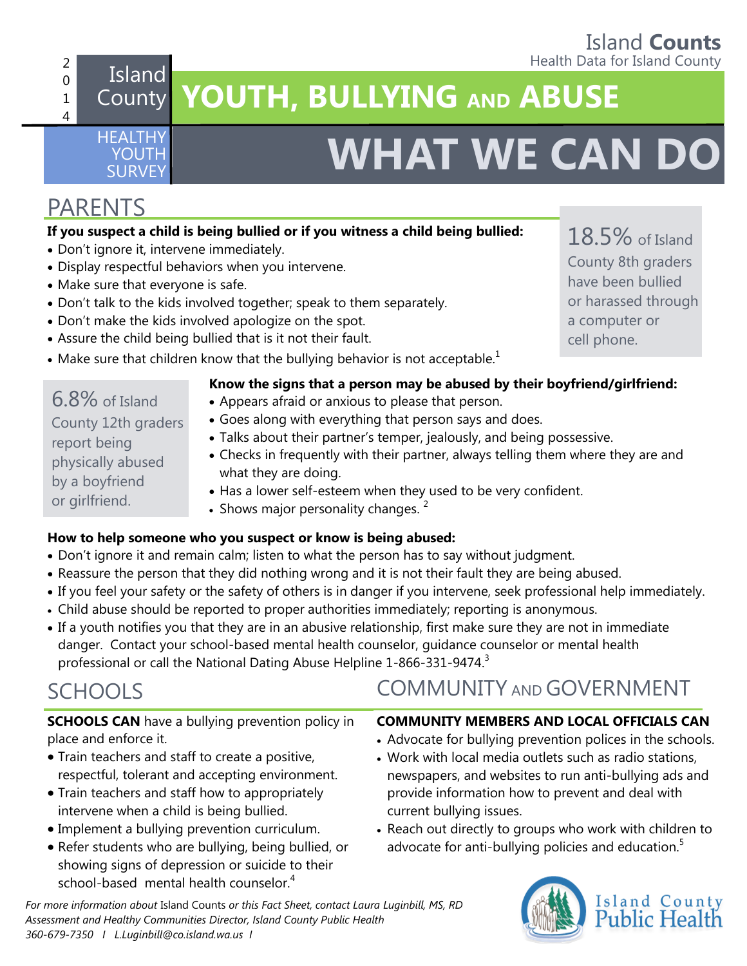# **Island Counts**<br>Health Data for Island County

18.5% of Island

### 2 0 1 4

HEALTHY YOUTH

# **The Extra formulate Standard County Island** County **Island** County **Island** County **Island** County **Island** County **Island** County **YOUTH, BULLYING AND ABUSE**

# **SURVEY <b>WHAT WE CAN DO**

## PARENTS

### **If you suspect a child is being bullied or if you witness a child being bullied:**

- Don't ignore it, intervene immediately.
- Display respectful behaviors when you intervene.
- Make sure that everyone is safe.
- Don't talk to the kids involved together; speak to them separately.
- Don't make the kids involved apologize on the spot.
- Assure the child being bullied that is it not their fault.
- Make sure that children know that the bullying behavior is not acceptable.<sup>1</sup>

### **Know the signs that a person may be abused by their boyfriend/girlfriend:**

- Appears afraid or anxious to please that person.
- Goes along with everything that person says and does.
- Talks about their partner's temper, jealously, and being possessive.
- Checks in frequently with their partner, always telling them where they are and what they are doing.
- Has a lower self-esteem when they used to be very confident.
- Shows major personality changes.  $2^2$

### **How to help someone who you suspect or know is being abused:**

- Don't ignore it and remain calm; listen to what the person has to say without judgment.
- Reassure the person that they did nothing wrong and it is not their fault they are being abused.
- If you feel your safety or the safety of others is in danger if you intervene, seek professional help immediately.
- Child abuse should be reported to proper authorities immediately; reporting is anonymous.
- If a youth notifies you that they are in an abusive relationship, first make sure they are not in immediate danger. Contact your school-based mental health counselor, guidance counselor or mental health professional or call the National Dating Abuse Helpline 1-866-331-9474.<sup>3</sup>

# SCHOOLS

**SCHOOLS CAN** have a bullying prevention policy in place and enforce it.

- Train teachers and staff to create a positive, respectful, tolerant and accepting environment.
- Train teachers and staff how to appropriately intervene when a child is being bullied.
- Implement a bullying prevention curriculum.
- Refer students who are bullying, being bullied, or showing signs of depression or suicide to their school-based mental health counselor.<sup>4</sup>

*For more information about* Island Counts *or this Fact Sheet, contact Laura Luginbill, MS, RD Assessment and Healthy Communities Director, Island County Public Health 360-679-7350 I L.Luginbill@co.island.wa.us I* 

- 
- 
- 

# COMMUNITY AND GOVERNMENT

### **COMMUNITY MEMBERS AND LOCAL OFFICIALS CAN**

- Advocate for bullying prevention polices in the schools.
- Work with local media outlets such as radio stations, newspapers, and websites to run anti-bullying ads and provide information how to prevent and deal with current bullying issues.
- Reach out directly to groups who work with children to advocate for anti-bullying policies and education.<sup>5</sup>



County 8th graders have been bullied or harassed through a computer or cell phone.

6.8% of Island County 12th graders report being

physically abused by a boyfriend or girlfriend.